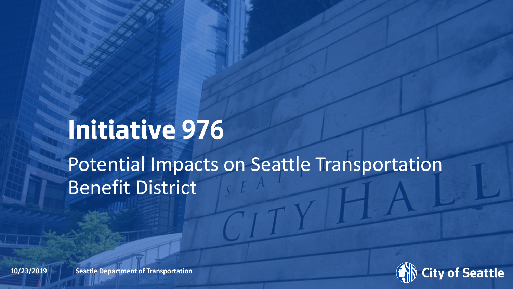# **Initiative 976** Potential Impacts on Seattle Transportation Benefit District



**10/23/2019 Beattle Department of Transportation**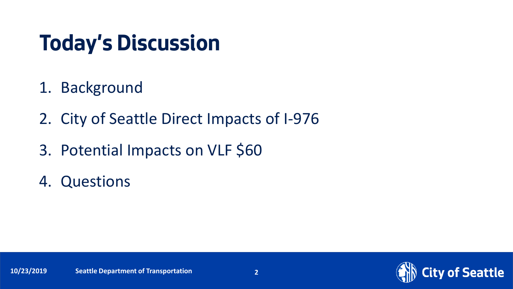## **Today's Discussion**

- 1. Background
- 2. City of Seattle Direct Impacts of I-976
- 3. Potential Impacts on VLF \$60
- 4. Questions

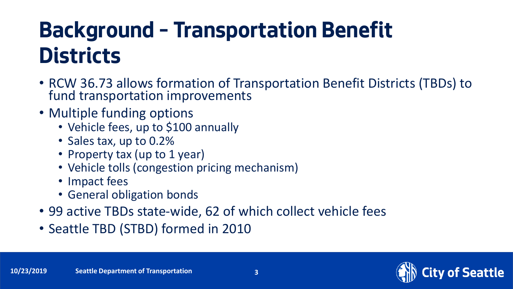# **Background – Transportation Benefit Districts**

- RCW 36.73 allows formation of Transportation Benefit Districts (TBDs) to fund transportation improvements
- Multiple funding options
	- Vehicle fees, up to \$100 annually
	- Sales tax, up to 0.2%
	- Property tax (up to 1 year)
	- Vehicle tolls (congestion pricing mechanism)
	- Impact fees
	- General obligation bonds
- 99 active TBDs state-wide, 62 of which collect vehicle fees
- Seattle TBD (STBD) formed in 2010

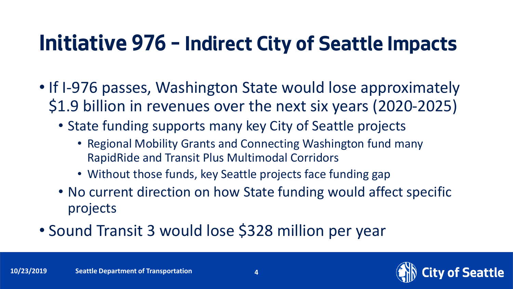#### **Initiative 976 – Indirect City of Seattle Impacts**

- If I-976 passes, Washington State would lose approximately \$1.9 billion in revenues over the next six years (2020-2025)
	- State funding supports many key City of Seattle projects
		- Regional Mobility Grants and Connecting Washington fund many RapidRide and Transit Plus Multimodal Corridors
		- Without those funds, key Seattle projects face funding gap
	- No current direction on how State funding would affect specific projects
- Sound Transit 3 would lose \$328 million per year

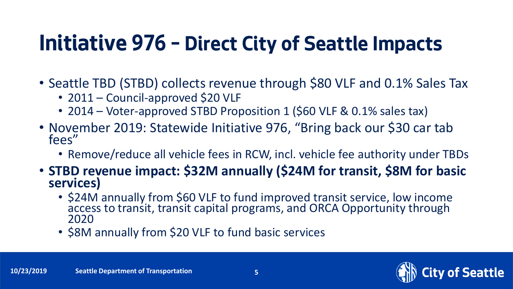## **Initiative 976 – Direct City of Seattle Impacts**

- Seattle TBD (STBD) collects revenue through \$80 VLF and 0.1% Sales Tax
	- 2011 Council-approved \$20 VLF
	- 2014 Voter-approved STBD Proposition 1 (\$60 VLF & 0.1% sales tax)
- November 2019: Statewide Initiative 976, "Bring back our \$30 car tab fees"
	- Remove/reduce all vehicle fees in RCW, incl. vehicle fee authority under TBDs
- **STBD revenue impact: \$32M annually (\$24M for transit, \$8M for basic services)**
	- \$24M annually from \$60 VLF to fund improved transit service, low income access to transit, transit capital programs, and ORCA Opportunity through 2020
	- \$8M annually from \$20 VLF to fund basic services

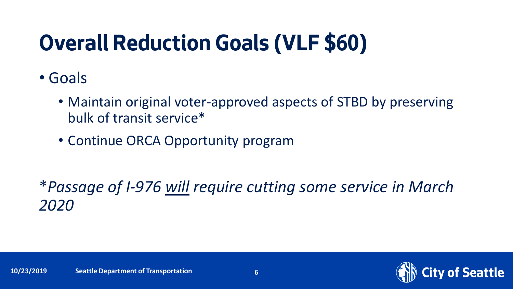# **Overall Reduction Goals (VLF \$60)**

- Goals
	- Maintain original voter-approved aspects of STBD by preserving bulk of transit service\*
	- Continue ORCA Opportunity program

\**Passage of I-976 will require cutting some service in March 2020*

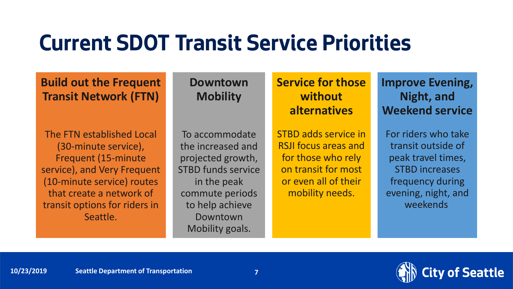#### **Current SDOT Transit Service Priorities**

**Build out the Frequent Transit Network (FTN)**

The FTN established Local (30-minute service), Frequent (15-minute service), and Very Frequent (10-minute service) routes that create a network of transit options for riders in Seattle.

**Downtown Mobility**

To accommodate the increased and projected growth, STBD funds service in the peak commute periods to help achieve Downtown Mobility goals.

**Service for those without alternatives**

STBD adds service in RSJI focus areas and for those who rely on transit for most or even all of their mobility needs.

**Improve Evening, Night, and Weekend service**

For riders who take transit outside of peak travel times, STBD increases frequency during evening, night, and weekends

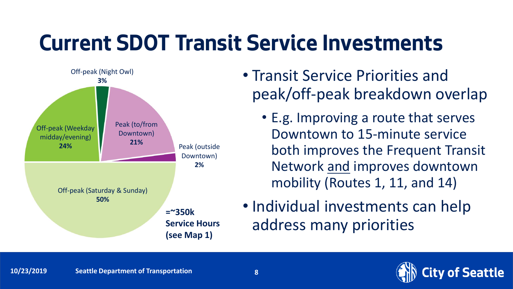# **Current SDOT Transit Service Investments**



- Transit Service Priorities and peak/off-peak breakdown overlap
	- E.g. Improving a route that serves Downtown to 15-minute service both improves the Frequent Transit Network and improves downtown mobility (Routes 1, 11, and 14)
- Individual investments can help address many priorities

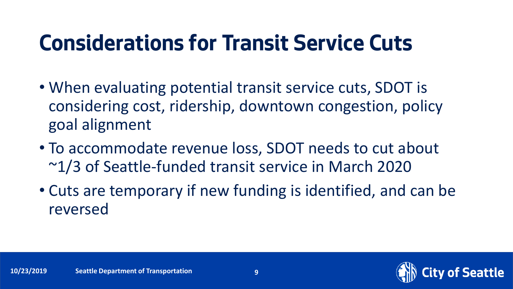# **Considerations for Transit Service Cuts**

- When evaluating potential transit service cuts, SDOT is considering cost, ridership, downtown congestion, policy goal alignment
- To accommodate revenue loss, SDOT needs to cut about ~1/3 of Seattle-funded transit service in March 2020
- Cuts are temporary if new funding is identified, and can be reversed

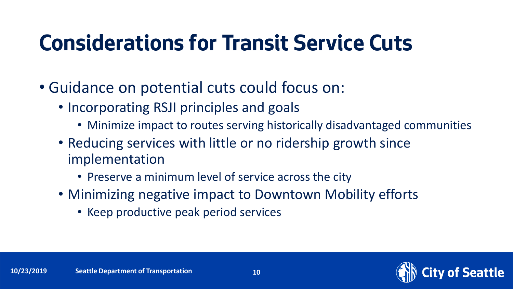# **Considerations for Transit Service Cuts**

- Guidance on potential cuts could focus on:
	- Incorporating RSJI principles and goals
		- Minimize impact to routes serving historically disadvantaged communities
	- Reducing services with little or no ridership growth since implementation
		- Preserve a minimum level of service across the city
	- Minimizing negative impact to Downtown Mobility efforts
		- Keep productive peak period services

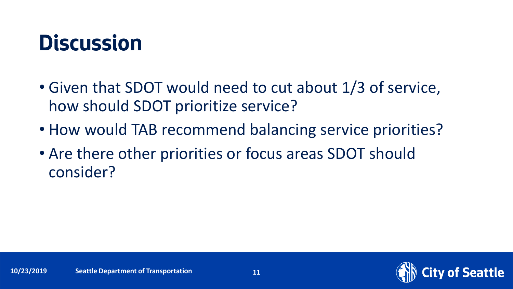### **Discussion**

- Given that SDOT would need to cut about 1/3 of service, how should SDOT prioritize service?
- How would TAB recommend balancing service priorities?
- Are there other priorities or focus areas SDOT should consider?